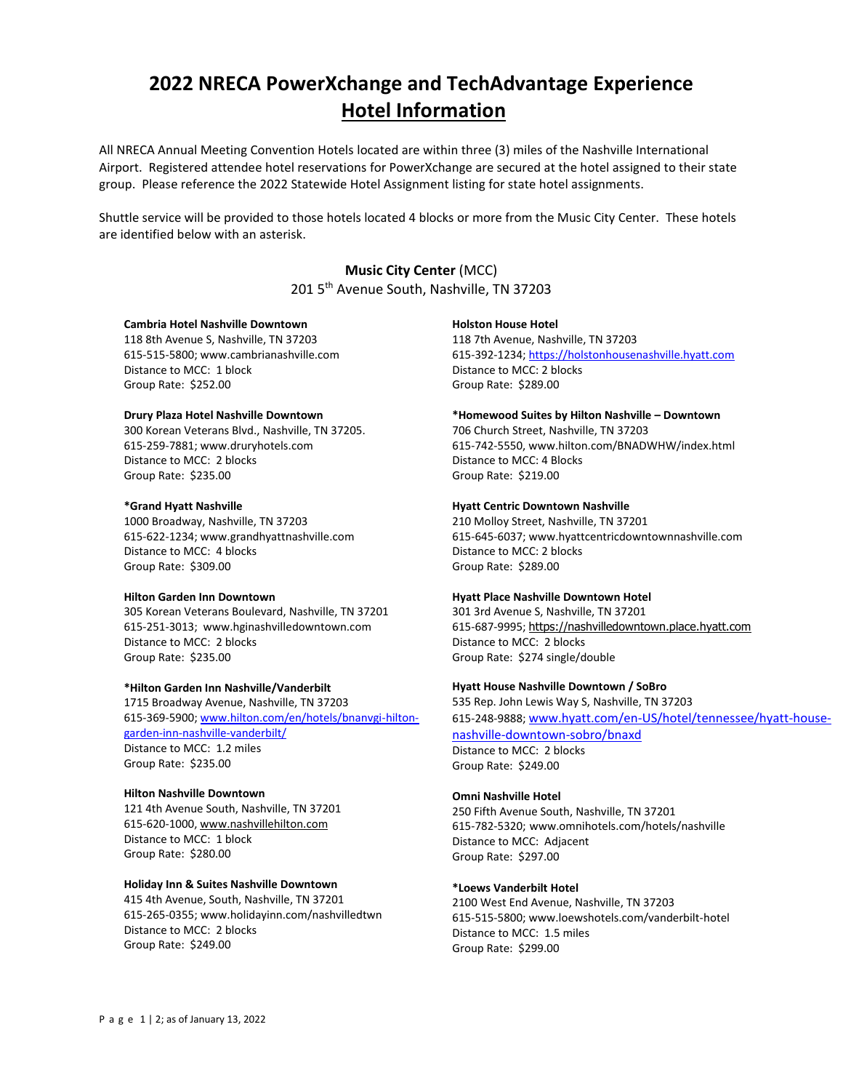# **2022 NRECA PowerXchange and TechAdvantage Experience Hotel Information**

All NRECA Annual Meeting Convention Hotels located are within three (3) miles of the Nashville International Airport. Registered attendee hotel reservations for PowerXchange are secured at the hotel assigned to their state group. Please reference the 2022 Statewide Hotel Assignment listing for state hotel assignments.

Shuttle service will be provided to those hotels located 4 blocks or more from the Music City Center. These hotels are identified below with an asterisk.

# **Music City Center** (MCC)

201 5<sup>th</sup> Avenue South, Nashville, TN 37203

## **Cambria Hotel Nashville Downtown**

118 8th Avenue S, Nashville, TN 37203 615-515-5800[; www.cambrianashville.com](https://urldefense.proofpoint.com/v2/url?u=http-3A__www.cambrianashville.com&d=DwQGaQ&c=YOJd6dBEDZ21v50TTNnhtg&r=GoaJQspp7erB9q_ygJOY1ZYYtKVB9zH8e6BbAB1-Yok&m=C5042BbuIg-JhmMIQSYXr7p3j8z1a-7wjE8An2muOqc&s=2LsqyWcIpGYH5ac9nLDpZRhJTvH-87-iujKg3c1cPPY&e=) Distance to MCC: 1 block Group Rate: \$252.00

## **Drury Plaza Hotel Nashville Downtown**

300 Korean Veterans Blvd., Nashville, TN 37205. 615-259-7881[; www.druryhotels.com](http://www.druryhotels.com/) Distance to MCC: 2 blocks Group Rate: \$235.00

## **\*Grand Hyatt Nashville**

1000 Broadway, Nashville, TN 37203 615-622-1234[; www.grandhyattnashville.com](http://www.grandhyattnashville.com/)  Distance to MCC: 4 blocks Group Rate: \$309.00

#### **Hilton Garden Inn Downtown**

305 Korean Veterans Boulevard, Nashville, TN 37201 615-251-3013; www.hginashvilledowntown.com Distance to MCC: 2 blocks Group Rate: \$235.00

#### **\*Hilton Garden Inn Nashville/Vanderbilt**

1715 Broadway Avenue, Nashville, TN 37203 615-369-5900[; www.hilton.com/en/hotels/bnanvgi-hilton](http://www.hilton.com/en/hotels/bnanvgi-hilton-garden-inn-nashville-vanderbilt/)[garden-inn-nashville-vanderbilt/](http://www.hilton.com/en/hotels/bnanvgi-hilton-garden-inn-nashville-vanderbilt/) Distance to MCC: 1.2 miles Group Rate: \$235.00

#### **Hilton Nashville Downtown**

121 4th Avenue South, Nashville, TN 37201 615-620-1000[, www.nashvillehilton.com](http://www.nashvillehilton.com/) Distance to MCC: 1 block Group Rate: \$280.00

# **Holiday Inn & Suites Nashville Downtown**

415 4th Avenue, South, Nashville, TN 37201 615-265-0355; www.holidayinn.com/nashvilledtwn Distance to MCC: 2 blocks Group Rate: \$249.00

## **Holston House Hotel**

118 7th Avenue, Nashville, TN 37203 615-392-1234[; https://holstonhousenashville.hyatt.com](https://holstonhousenashville.hyatt.com/) Distance to MCC: 2 blocks Group Rate: \$289.00

#### **\*Homewood Suites by Hilton Nashville – Downtown**

706 Church Street, Nashville, TN 37203 615-742-5550, www.hilton.com[/BNADWHW/index.html](http://homewoodsuites3.hilton.com/en/hotels/tennessee/homewood-suites-by-hilton-nashville-downtown-BNADWHW/index.html) Distance to MCC: 4 Blocks Group Rate: \$219.00

## **Hyatt Centric Downtown Nashville**

210 Molloy Street, Nashville, TN 37201 615-645-6037; www.hyattcentricdowntownnashville.com Distance to MCC: 2 blocks Group Rate: \$289.00

#### **Hyatt Place Nashville Downtown Hotel**

301 3rd Avenue S, Nashville, TN 37201 615-687-9995; [https://nashvilledowntown.place.hyatt.com](https://nashvilledowntown.place.hyatt.com/) Distance to MCC: 2 blocks Group Rate: \$274 single/double

## **Hyatt House Nashville Downtown / SoBro**

535 Rep. John Lewis Way S, Nashville, TN 37203 615-248-9888; [www.hyatt.com/en-US/hotel/tennessee/hyatt-house-](http://www.hyatt.com/en-US/hotel/tennessee/hyatt-house-nashville-downtown-sobro/bnaxd)

#### [nashville-downtown-sobro/bnaxd](http://www.hyatt.com/en-US/hotel/tennessee/hyatt-house-nashville-downtown-sobro/bnaxd) Distance to MCC: 2 blocks

Group Rate: \$249.00

## **Omni Nashville Hotel**

250 Fifth Avenue South, Nashville, TN 37201 615-782-5320; www.omnihotels.com/hotels/nashville Distance to MCC: Adjacent Group Rate: \$297.00

#### **\*Loews Vanderbilt Hotel**

2100 West End Avenue, Nashville, TN 37203 615-515-5800; www.loewshotels.com/vanderbilt-hotel Distance to MCC: 1.5 miles Group Rate: \$299.00